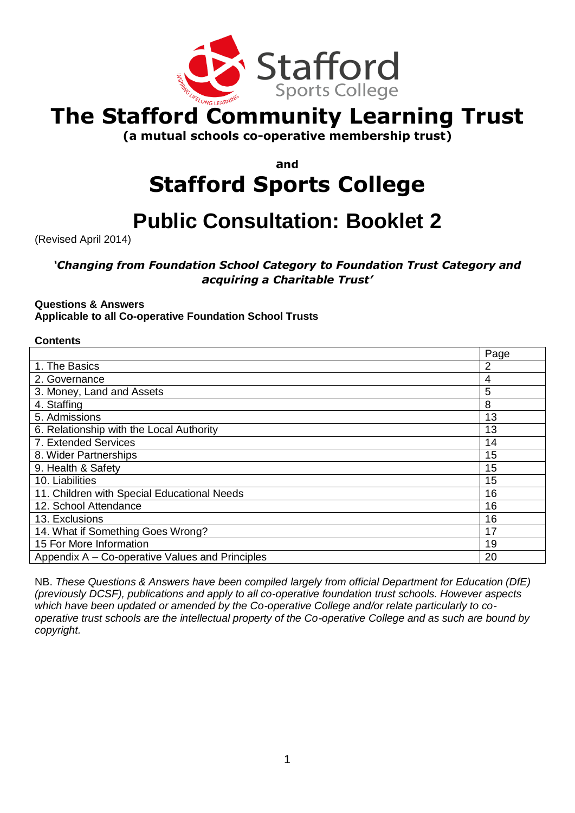

## **The Stafford Community Learning Trust**

**(a mutual schools co-operative membership trust)**

**and**

# **Stafford Sports College**

## **Public Consultation: Booklet 2**

(Revised April 2014)

## *'Changing from Foundation School Category to Foundation Trust Category and acquiring a Charitable Trust'*

## **Questions & Answers**

**Applicable to all Co-operative Foundation School Trusts** 

### **Contents**

|                                                       | Page           |
|-------------------------------------------------------|----------------|
| 1. The Basics                                         | $\overline{2}$ |
| 2. Governance                                         | 4              |
| 3. Money, Land and Assets                             | 5              |
| 4. Staffing                                           | 8              |
| 5. Admissions                                         | 13             |
| 6. Relationship with the Local Authority              | 13             |
| 7. Extended Services                                  | 14             |
| 8. Wider Partnerships                                 | 15             |
| 9. Health & Safety                                    | 15             |
| 10. Liabilities                                       | 15             |
| 11. Children with Special Educational Needs           | 16             |
| 12. School Attendance                                 | 16             |
| 13. Exclusions                                        | 16             |
| 14. What if Something Goes Wrong?                     | 17             |
| 15 For More Information                               | 19             |
| 20<br>Appendix A – Co-operative Values and Principles |                |

NB. *These Questions & Answers have been compiled largely from official Department for Education (DfE) (previously DCSF), publications and apply to all co-operative foundation trust schools. However aspects which have been updated or amended by the Co-operative College and/or relate particularly to cooperative trust schools are the intellectual property of the Co-operative College and as such are bound by copyright.*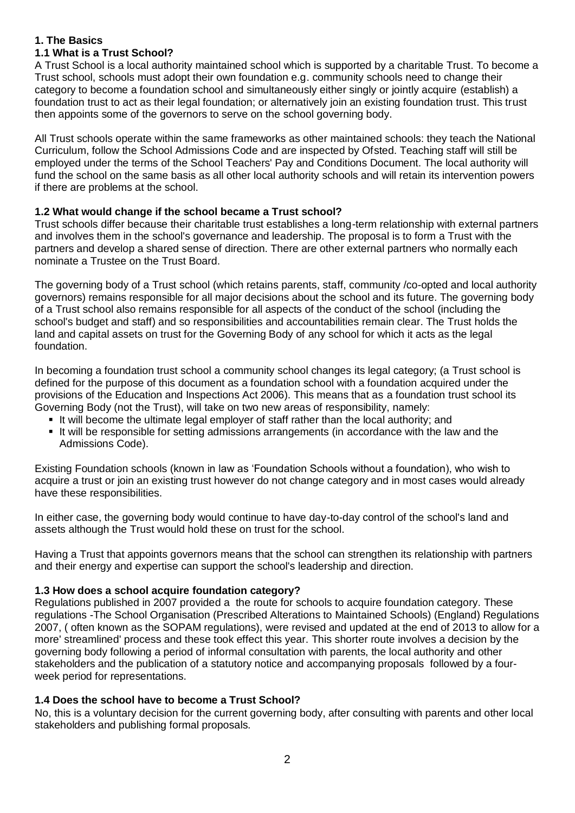## **1. The Basics**

## **1.1 What is a Trust School?**

A Trust School is a local authority maintained school which is supported by a charitable Trust. To become a Trust school, schools must adopt their own foundation e.g. community schools need to change their category to become a foundation school and simultaneously either singly or jointly acquire (establish) a foundation trust to act as their legal foundation; or alternatively join an existing foundation trust. This trust then appoints some of the governors to serve on the school governing body.

All Trust schools operate within the same frameworks as other maintained schools: they teach the National Curriculum, follow the School Admissions Code and are inspected by Ofsted. Teaching staff will still be employed under the terms of the School Teachers' Pay and Conditions Document. The local authority will fund the school on the same basis as all other local authority schools and will retain its intervention powers if there are problems at the school.

## **1.2 What would change if the school became a Trust school?**

Trust schools differ because their charitable trust establishes a long-term relationship with external partners and involves them in the school's governance and leadership. The proposal is to form a Trust with the partners and develop a shared sense of direction. There are other external partners who normally each nominate a Trustee on the Trust Board.

The governing body of a Trust school (which retains parents, staff, community /co-opted and local authority governors) remains responsible for all major decisions about the school and its future. The governing body of a Trust school also remains responsible for all aspects of the conduct of the school (including the school's budget and staff) and so responsibilities and accountabilities remain clear. The Trust holds the land and capital assets on trust for the Governing Body of any school for which it acts as the legal foundation.

In becoming a foundation trust school a community school changes its legal category; (a Trust school is defined for the purpose of this document as a foundation school with a foundation acquired under the provisions of the Education and Inspections Act 2006). This means that as a foundation trust school its Governing Body (not the Trust), will take on two new areas of responsibility, namely:

- If will become the ultimate legal employer of staff rather than the local authority; and
- It will be responsible for setting admissions arrangements (in accordance with the law and the Admissions Code).

Existing Foundation schools (known in law as 'Foundation Schools without a foundation), who wish to acquire a trust or join an existing trust however do not change category and in most cases would already have these responsibilities.

In either case, the governing body would continue to have day-to-day control of the school's land and assets although the Trust would hold these on trust for the school.

Having a Trust that appoints governors means that the school can strengthen its relationship with partners and their energy and expertise can support the school's leadership and direction.

## **1.3 How does a school acquire foundation category?**

Regulations published in 2007 provided a the route for schools to acquire foundation category. These regulations -The School Organisation (Prescribed Alterations to Maintained Schools) (England) Regulations 2007, ( often known as the SOPAM regulations), were revised and updated at the end of 2013 to allow for a more' streamlined' process and these took effect this year. This shorter route involves a decision by the governing body following a period of informal consultation with parents, the local authority and other stakeholders and the publication of a statutory notice and accompanying proposals followed by a fourweek period for representations.

## **1.4 Does the school have to become a Trust School?**

No, this is a voluntary decision for the current governing body, after consulting with parents and other local stakeholders and publishing formal proposals.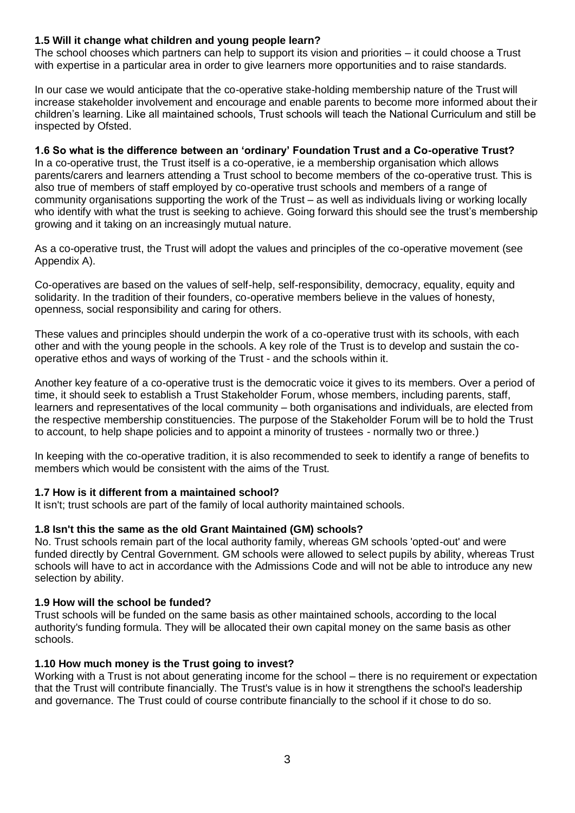## **1.5 Will it change what children and young people learn?**

The school chooses which partners can help to support its vision and priorities – it could choose a Trust with expertise in a particular area in order to give learners more opportunities and to raise standards.

In our case we would anticipate that the co-operative stake-holding membership nature of the Trust will increase stakeholder involvement and encourage and enable parents to become more informed about their children's learning. Like all maintained schools, Trust schools will teach the National Curriculum and still be inspected by Ofsted.

#### **1.6 So what is the difference between an 'ordinary' Foundation Trust and a Co-operative Trust?**

In a co-operative trust, the Trust itself is a co-operative, ie a membership organisation which allows parents/carers and learners attending a Trust school to become members of the co-operative trust. This is also true of members of staff employed by co-operative trust schools and members of a range of community organisations supporting the work of the Trust – as well as individuals living or working locally who identify with what the trust is seeking to achieve. Going forward this should see the trust's membership growing and it taking on an increasingly mutual nature.

As a co-operative trust, the Trust will adopt the values and principles of the co-operative movement (see Appendix A).

Co-operatives are based on the values of self-help, self-responsibility, democracy, equality, equity and solidarity. In the tradition of their founders, co-operative members believe in the values of honesty, openness, social responsibility and caring for others.

These values and principles should underpin the work of a co-operative trust with its schools, with each other and with the young people in the schools. A key role of the Trust is to develop and sustain the cooperative ethos and ways of working of the Trust - and the schools within it.

Another key feature of a co-operative trust is the democratic voice it gives to its members. Over a period of time, it should seek to establish a Trust Stakeholder Forum, whose members, including parents, staff, learners and representatives of the local community – both organisations and individuals, are elected from the respective membership constituencies. The purpose of the Stakeholder Forum will be to hold the Trust to account, to help shape policies and to appoint a minority of trustees - normally two or three.)

In keeping with the co-operative tradition, it is also recommended to seek to identify a range of benefits to members which would be consistent with the aims of the Trust.

#### **1.7 How is it different from a maintained school?**

It isn't; trust schools are part of the family of local authority maintained schools.

#### **1.8 Isn't this the same as the old Grant Maintained (GM) schools?**

No. Trust schools remain part of the local authority family, whereas GM schools 'opted-out' and were funded directly by Central Government. GM schools were allowed to select pupils by ability, whereas Trust schools will have to act in accordance with the Admissions Code and will not be able to introduce any new selection by ability.

#### **1.9 How will the school be funded?**

Trust schools will be funded on the same basis as other maintained schools, according to the local authority's funding formula. They will be allocated their own capital money on the same basis as other schools.

#### **1.10 How much money is the Trust going to invest?**

Working with a Trust is not about generating income for the school – there is no requirement or expectation that the Trust will contribute financially. The Trust's value is in how it strengthens the school's leadership and governance. The Trust could of course contribute financially to the school if it chose to do so.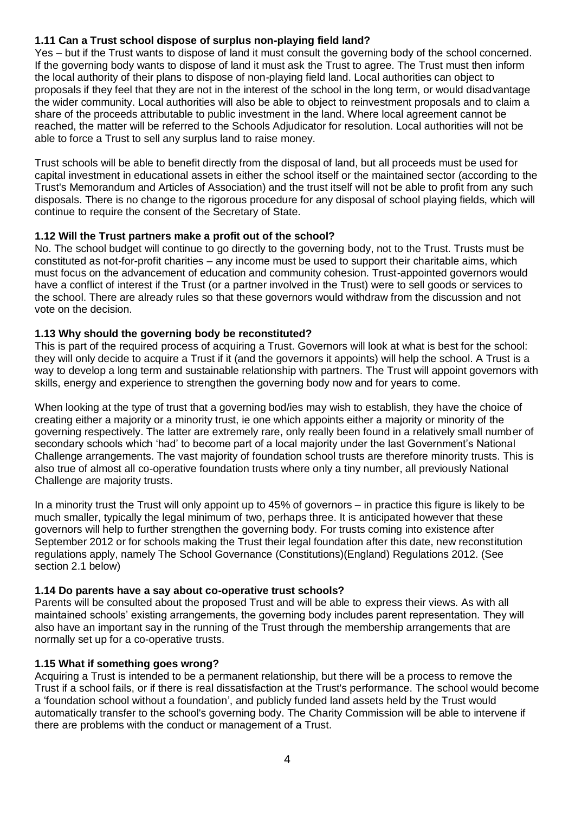## **1.11 Can a Trust school dispose of surplus non-playing field land?**

Yes – but if the Trust wants to dispose of land it must consult the governing body of the school concerned. If the governing body wants to dispose of land it must ask the Trust to agree. The Trust must then inform the local authority of their plans to dispose of non-playing field land. Local authorities can object to proposals if they feel that they are not in the interest of the school in the long term, or would disadvantage the wider community. Local authorities will also be able to object to reinvestment proposals and to claim a share of the proceeds attributable to public investment in the land. Where local agreement cannot be reached, the matter will be referred to the Schools Adjudicator for resolution. Local authorities will not be able to force a Trust to sell any surplus land to raise money.

Trust schools will be able to benefit directly from the disposal of land, but all proceeds must be used for capital investment in educational assets in either the school itself or the maintained sector (according to the Trust's Memorandum and Articles of Association) and the trust itself will not be able to profit from any such disposals. There is no change to the rigorous procedure for any disposal of school playing fields, which will continue to require the consent of the Secretary of State.

## **1.12 Will the Trust partners make a profit out of the school?**

No. The school budget will continue to go directly to the governing body, not to the Trust. Trusts must be constituted as not-for-profit charities – any income must be used to support their charitable aims, which must focus on the advancement of education and community cohesion. Trust-appointed governors would have a conflict of interest if the Trust (or a partner involved in the Trust) were to sell goods or services to the school. There are already rules so that these governors would withdraw from the discussion and not vote on the decision.

### **1.13 Why should the governing body be reconstituted?**

This is part of the required process of acquiring a Trust. Governors will look at what is best for the school: they will only decide to acquire a Trust if it (and the governors it appoints) will help the school. A Trust is a way to develop a long term and sustainable relationship with partners. The Trust will appoint governors with skills, energy and experience to strengthen the governing body now and for years to come.

When looking at the type of trust that a governing bod/ies may wish to establish, they have the choice of creating either a majority or a minority trust, ie one which appoints either a majority or minority of the governing respectively. The latter are extremely rare, only really been found in a relatively small number of secondary schools which 'had' to become part of a local majority under the last Government's National Challenge arrangements. The vast majority of foundation school trusts are therefore minority trusts. This is also true of almost all co-operative foundation trusts where only a tiny number, all previously National Challenge are majority trusts.

In a minority trust the Trust will only appoint up to 45% of governors – in practice this figure is likely to be much smaller, typically the legal minimum of two, perhaps three. It is anticipated however that these governors will help to further strengthen the governing body. For trusts coming into existence after September 2012 or for schools making the Trust their legal foundation after this date, new reconstitution regulations apply, namely The School Governance (Constitutions)(England) Regulations 2012. (See section 2.1 below)

#### **1.14 Do parents have a say about co-operative trust schools?**

Parents will be consulted about the proposed Trust and will be able to express their views. As with all maintained schools' existing arrangements, the governing body includes parent representation. They will also have an important say in the running of the Trust through the membership arrangements that are normally set up for a co-operative trusts.

## **1.15 What if something goes wrong?**

Acquiring a Trust is intended to be a permanent relationship, but there will be a process to remove the Trust if a school fails, or if there is real dissatisfaction at the Trust's performance. The school would become a 'foundation school without a foundation', and publicly funded land assets held by the Trust would automatically transfer to the school's governing body. The Charity Commission will be able to intervene if there are problems with the conduct or management of a Trust.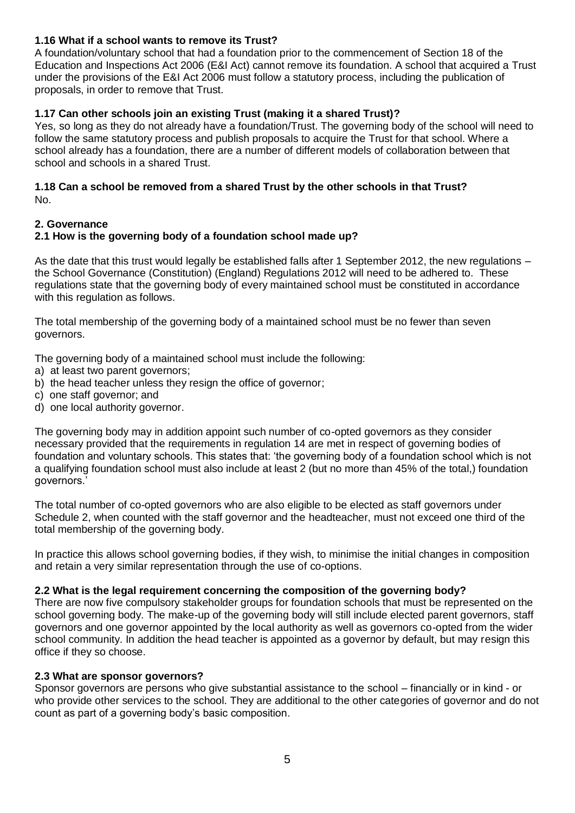## **1.16 What if a school wants to remove its Trust?**

A foundation/voluntary school that had a foundation prior to the commencement of Section 18 of the Education and Inspections Act 2006 (E&I Act) cannot remove its foundation. A school that acquired a Trust under the provisions of the E&I Act 2006 must follow a statutory process, including the publication of proposals, in order to remove that Trust.

## **1.17 Can other schools join an existing Trust (making it a shared Trust)?**

Yes, so long as they do not already have a foundation/Trust. The governing body of the school will need to follow the same statutory process and publish proposals to acquire the Trust for that school. Where a school already has a foundation, there are a number of different models of collaboration between that school and schools in a shared Trust.

#### **1.18 Can a school be removed from a shared Trust by the other schools in that Trust?**  No.

## **2. Governance**

## **2.1 How is the governing body of a foundation school made up?**

As the date that this trust would legally be established falls after 1 September 2012, the new regulations – the School Governance (Constitution) (England) Regulations 2012 will need to be adhered to. These regulations state that the governing body of every maintained school must be constituted in accordance with this regulation as follows.

The total membership of the governing body of a maintained school must be no fewer than seven governors.

The governing body of a maintained school must include the following:

- a) at least two parent governors;
- b) the head teacher unless they resign the office of governor;
- c) one staff governor; and
- d) one local authority governor.

The governing body may in addition appoint such number of co-opted governors as they consider necessary provided that the requirements in regulation 14 are met in respect of governing bodies of foundation and voluntary schools. This states that: 'the governing body of a foundation school which is not a qualifying foundation school must also include at least 2 (but no more than 45% of the total,) foundation governors.'

The total number of co-opted governors who are also eligible to be elected as staff governors under Schedule 2, when counted with the staff governor and the headteacher, must not exceed one third of the total membership of the governing body.

In practice this allows school governing bodies, if they wish, to minimise the initial changes in composition and retain a very similar representation through the use of co-options.

#### **2.2 What is the legal requirement concerning the composition of the governing body?**

There are now five compulsory stakeholder groups for foundation schools that must be represented on the school governing body. The make-up of the governing body will still include elected parent governors, staff governors and one governor appointed by the local authority as well as governors co-opted from the wider school community. In addition the head teacher is appointed as a governor by default, but may resign this office if they so choose.

#### **2.3 What are sponsor governors?**

Sponsor governors are persons who give substantial assistance to the school – financially or in kind - or who provide other services to the school. They are additional to the other categories of governor and do not count as part of a governing body's basic composition.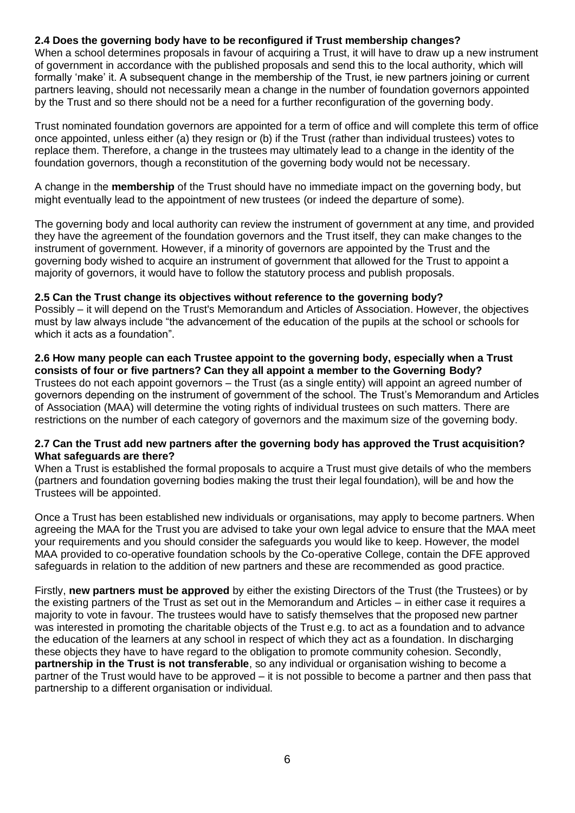## **2.4 Does the governing body have to be reconfigured if Trust membership changes?**

When a school determines proposals in favour of acquiring a Trust, it will have to draw up a new instrument of government in accordance with the published proposals and send this to the local authority, which will formally 'make' it. A subsequent change in the membership of the Trust, ie new partners joining or current partners leaving, should not necessarily mean a change in the number of foundation governors appointed by the Trust and so there should not be a need for a further reconfiguration of the governing body.

Trust nominated foundation governors are appointed for a term of office and will complete this term of office once appointed, unless either (a) they resign or (b) if the Trust (rather than individual trustees) votes to replace them. Therefore, a change in the trustees may ultimately lead to a change in the identity of the foundation governors, though a reconstitution of the governing body would not be necessary.

A change in the **membership** of the Trust should have no immediate impact on the governing body, but might eventually lead to the appointment of new trustees (or indeed the departure of some).

The governing body and local authority can review the instrument of government at any time, and provided they have the agreement of the foundation governors and the Trust itself, they can make changes to the instrument of government. However, if a minority of governors are appointed by the Trust and the governing body wished to acquire an instrument of government that allowed for the Trust to appoint a majority of governors, it would have to follow the statutory process and publish proposals.

#### **2.5 Can the Trust change its objectives without reference to the governing body?**

Possibly – it will depend on the Trust's Memorandum and Articles of Association. However, the objectives must by law always include "the advancement of the education of the pupils at the school or schools for which it acts as a foundation".

#### **2.6 How many people can each Trustee appoint to the governing body, especially when a Trust consists of four or five partners? Can they all appoint a member to the Governing Body?**  Trustees do not each appoint governors – the Trust (as a single entity) will appoint an agreed number of governors depending on the instrument of government of the school. The Trust's Memorandum and Articles of Association (MAA) will determine the voting rights of individual trustees on such matters. There are restrictions on the number of each category of governors and the maximum size of the governing body.

#### **2.7 Can the Trust add new partners after the governing body has approved the Trust acquisition? What safeguards are there?**

When a Trust is established the formal proposals to acquire a Trust must give details of who the members (partners and foundation governing bodies making the trust their legal foundation), will be and how the Trustees will be appointed.

Once a Trust has been established new individuals or organisations, may apply to become partners. When agreeing the MAA for the Trust you are advised to take your own legal advice to ensure that the MAA meet your requirements and you should consider the safeguards you would like to keep. However, the model MAA provided to co-operative foundation schools by the Co-operative College, contain the DFE approved safeguards in relation to the addition of new partners and these are recommended as good practice.

Firstly, **new partners must be approved** by either the existing Directors of the Trust (the Trustees) or by the existing partners of the Trust as set out in the Memorandum and Articles – in either case it requires a majority to vote in favour. The trustees would have to satisfy themselves that the proposed new partner was interested in promoting the charitable objects of the Trust e.g. to act as a foundation and to advance the education of the learners at any school in respect of which they act as a foundation. In discharging these objects they have to have regard to the obligation to promote community cohesion. Secondly, **partnership in the Trust is not transferable**, so any individual or organisation wishing to become a partner of the Trust would have to be approved – it is not possible to become a partner and then pass that partnership to a different organisation or individual.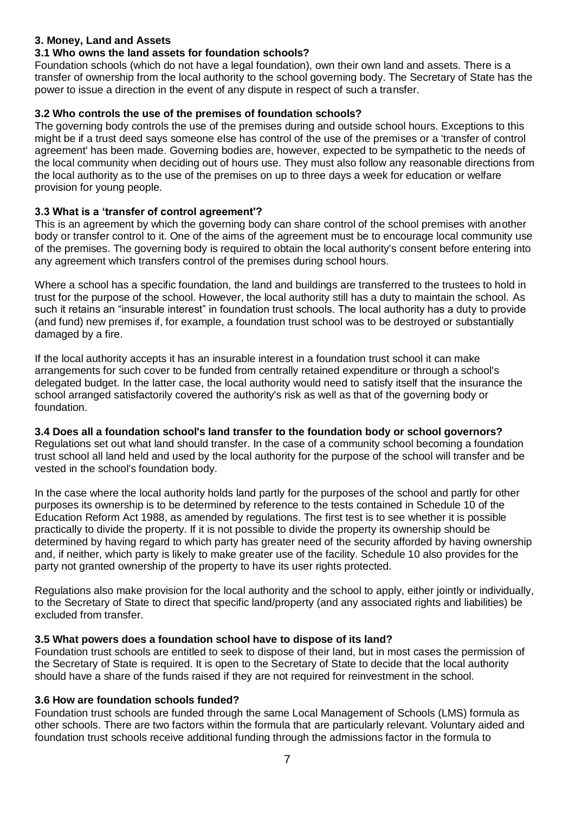#### **3. Money, Land and Assets**

#### **3.1 Who owns the land assets for foundation schools?**

Foundation schools (which do not have a legal foundation), own their own land and assets. There is a transfer of ownership from the local authority to the school governing body. The Secretary of State has the power to issue a direction in the event of any dispute in respect of such a transfer.

## **3.2 Who controls the use of the premises of foundation schools?**

The governing body controls the use of the premises during and outside school hours. Exceptions to this might be if a trust deed says someone else has control of the use of the premises or a 'transfer of control agreement' has been made. Governing bodies are, however, expected to be sympathetic to the needs of the local community when deciding out of hours use. They must also follow any reasonable directions from the local authority as to the use of the premises on up to three days a week for education or welfare provision for young people.

### **3.3 What is a 'transfer of control agreement'?**

This is an agreement by which the governing body can share control of the school premises with another body or transfer control to it. One of the aims of the agreement must be to encourage local community use of the premises. The governing body is required to obtain the local authority's consent before entering into any agreement which transfers control of the premises during school hours.

Where a school has a specific foundation, the land and buildings are transferred to the trustees to hold in trust for the purpose of the school. However, the local authority still has a duty to maintain the school. As such it retains an "insurable interest" in foundation trust schools. The local authority has a duty to provide (and fund) new premises if, for example, a foundation trust school was to be destroyed or substantially damaged by a fire.

If the local authority accepts it has an insurable interest in a foundation trust school it can make arrangements for such cover to be funded from centrally retained expenditure or through a school's delegated budget. In the latter case, the local authority would need to satisfy itself that the insurance the school arranged satisfactorily covered the authority's risk as well as that of the governing body or foundation.

#### **3.4 Does all a foundation school's land transfer to the foundation body or school governors?**

Regulations set out what land should transfer. In the case of a community school becoming a foundation trust school all land held and used by the local authority for the purpose of the school will transfer and be vested in the school's foundation body.

In the case where the local authority holds land partly for the purposes of the school and partly for other purposes its ownership is to be determined by reference to the tests contained in Schedule 10 of the Education Reform Act 1988, as amended by regulations. The first test is to see whether it is possible practically to divide the property. If it is not possible to divide the property its ownership should be determined by having regard to which party has greater need of the security afforded by having ownership and, if neither, which party is likely to make greater use of the facility. Schedule 10 also provides for the party not granted ownership of the property to have its user rights protected.

Regulations also make provision for the local authority and the school to apply, either jointly or individually, to the Secretary of State to direct that specific land/property (and any associated rights and liabilities) be excluded from transfer.

#### **3.5 What powers does a foundation school have to dispose of its land?**

Foundation trust schools are entitled to seek to dispose of their land, but in most cases the permission of the Secretary of State is required. It is open to the Secretary of State to decide that the local authority should have a share of the funds raised if they are not required for reinvestment in the school.

#### **3.6 How are foundation schools funded?**

Foundation trust schools are funded through the same Local Management of Schools (LMS) formula as other schools. There are two factors within the formula that are particularly relevant. Voluntary aided and foundation trust schools receive additional funding through the admissions factor in the formula to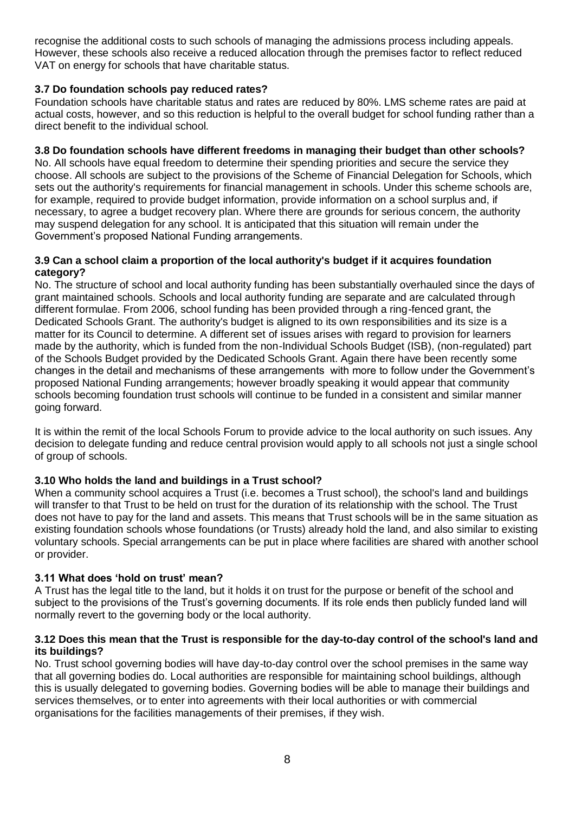recognise the additional costs to such schools of managing the admissions process including appeals. However, these schools also receive a reduced allocation through the premises factor to reflect reduced VAT on energy for schools that have charitable status.

## **3.7 Do foundation schools pay reduced rates?**

Foundation schools have charitable status and rates are reduced by 80%. LMS scheme rates are paid at actual costs, however, and so this reduction is helpful to the overall budget for school funding rather than a direct benefit to the individual school.

#### **3.8 Do foundation schools have different freedoms in managing their budget than other schools?**

No. All schools have equal freedom to determine their spending priorities and secure the service they choose. All schools are subject to the provisions of the Scheme of Financial Delegation for Schools, which sets out the authority's requirements for financial management in schools. Under this scheme schools are, for example, required to provide budget information, provide information on a school surplus and, if necessary, to agree a budget recovery plan. Where there are grounds for serious concern, the authority may suspend delegation for any school. It is anticipated that this situation will remain under the Government's proposed National Funding arrangements.

#### **3.9 Can a school claim a proportion of the local authority's budget if it acquires foundation category?**

No. The structure of school and local authority funding has been substantially overhauled since the days of grant maintained schools. Schools and local authority funding are separate and are calculated through different formulae. From 2006, school funding has been provided through a ring-fenced grant, the Dedicated Schools Grant. The authority's budget is aligned to its own responsibilities and its size is a matter for its Council to determine. A different set of issues arises with regard to provision for learners made by the authority, which is funded from the non-Individual Schools Budget (ISB), (non-regulated) part of the Schools Budget provided by the Dedicated Schools Grant. Again there have been recently some changes in the detail and mechanisms of these arrangements with more to follow under the Government's proposed National Funding arrangements; however broadly speaking it would appear that community schools becoming foundation trust schools will continue to be funded in a consistent and similar manner going forward.

It is within the remit of the local Schools Forum to provide advice to the local authority on such issues. Any decision to delegate funding and reduce central provision would apply to all schools not just a single school of group of schools.

## **3.10 Who holds the land and buildings in a Trust school?**

When a community school acquires a Trust (i.e. becomes a Trust school), the school's land and buildings will transfer to that Trust to be held on trust for the duration of its relationship with the school. The Trust does not have to pay for the land and assets. This means that Trust schools will be in the same situation as existing foundation schools whose foundations (or Trusts) already hold the land, and also similar to existing voluntary schools. Special arrangements can be put in place where facilities are shared with another school or provider.

#### **3.11 What does 'hold on trust' mean?**

A Trust has the legal title to the land, but it holds it on trust for the purpose or benefit of the school and subject to the provisions of the Trust's governing documents. If its role ends then publicly funded land will normally revert to the governing body or the local authority.

#### **3.12 Does this mean that the Trust is responsible for the day-to-day control of the school's land and its buildings?**

No. Trust school governing bodies will have day-to-day control over the school premises in the same way that all governing bodies do. Local authorities are responsible for maintaining school buildings, although this is usually delegated to governing bodies. Governing bodies will be able to manage their buildings and services themselves, or to enter into agreements with their local authorities or with commercial organisations for the facilities managements of their premises, if they wish.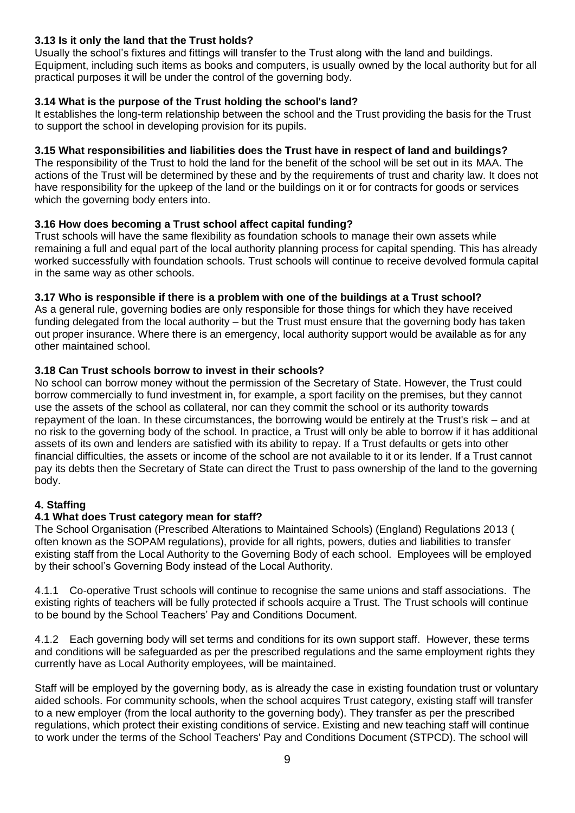## **3.13 Is it only the land that the Trust holds?**

Usually the school's fixtures and fittings will transfer to the Trust along with the land and buildings. Equipment, including such items as books and computers, is usually owned by the local authority but for all practical purposes it will be under the control of the governing body.

## **3.14 What is the purpose of the Trust holding the school's land?**

It establishes the long-term relationship between the school and the Trust providing the basis for the Trust to support the school in developing provision for its pupils.

## **3.15 What responsibilities and liabilities does the Trust have in respect of land and buildings?**

The responsibility of the Trust to hold the land for the benefit of the school will be set out in its MAA. The actions of the Trust will be determined by these and by the requirements of trust and charity law. It does not have responsibility for the upkeep of the land or the buildings on it or for contracts for goods or services which the governing body enters into.

## **3.16 How does becoming a Trust school affect capital funding?**

Trust schools will have the same flexibility as foundation schools to manage their own assets while remaining a full and equal part of the local authority planning process for capital spending. This has already worked successfully with foundation schools. Trust schools will continue to receive devolved formula capital in the same way as other schools.

## **3.17 Who is responsible if there is a problem with one of the buildings at a Trust school?**

As a general rule, governing bodies are only responsible for those things for which they have received funding delegated from the local authority – but the Trust must ensure that the governing body has taken out proper insurance. Where there is an emergency, local authority support would be available as for any other maintained school.

## **3.18 Can Trust schools borrow to invest in their schools?**

No school can borrow money without the permission of the Secretary of State. However, the Trust could borrow commercially to fund investment in, for example, a sport facility on the premises, but they cannot use the assets of the school as collateral, nor can they commit the school or its authority towards repayment of the loan. In these circumstances, the borrowing would be entirely at the Trust's risk – and at no risk to the governing body of the school. In practice, a Trust will only be able to borrow if it has additional assets of its own and lenders are satisfied with its ability to repay. If a Trust defaults or gets into other financial difficulties, the assets or income of the school are not available to it or its lender. If a Trust cannot pay its debts then the Secretary of State can direct the Trust to pass ownership of the land to the governing body.

## **4. Staffing**

## **4.1 What does Trust category mean for staff?**

The School Organisation (Prescribed Alterations to Maintained Schools) (England) Regulations 2013 ( often known as the SOPAM regulations), provide for all rights, powers, duties and liabilities to transfer existing staff from the Local Authority to the Governing Body of each school. Employees will be employed by their school's Governing Body instead of the Local Authority.

4.1.1 Co-operative Trust schools will continue to recognise the same unions and staff associations. The existing rights of teachers will be fully protected if schools acquire a Trust. The Trust schools will continue to be bound by the School Teachers' Pay and Conditions Document.

4.1.2 Each governing body will set terms and conditions for its own support staff. However, these terms and conditions will be safeguarded as per the prescribed regulations and the same employment rights they currently have as Local Authority employees, will be maintained.

Staff will be employed by the governing body, as is already the case in existing foundation trust or voluntary aided schools. For community schools, when the school acquires Trust category, existing staff will transfer to a new employer (from the local authority to the governing body). They transfer as per the prescribed regulations, which protect their existing conditions of service. Existing and new teaching staff will continue to work under the terms of the School Teachers' Pay and Conditions Document (STPCD). The school will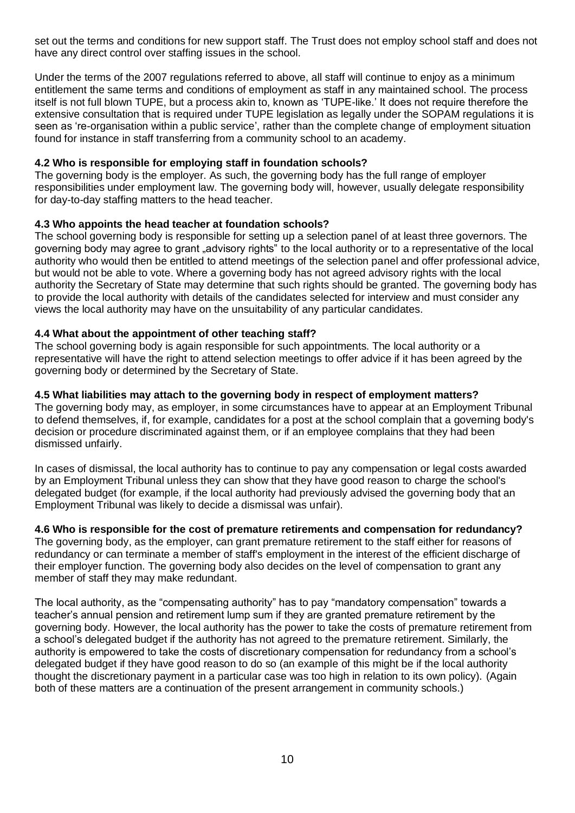set out the terms and conditions for new support staff. The Trust does not employ school staff and does not have any direct control over staffing issues in the school.

Under the terms of the 2007 regulations referred to above, all staff will continue to enjoy as a minimum entitlement the same terms and conditions of employment as staff in any maintained school. The process itself is not full blown TUPE, but a process akin to, known as 'TUPE-like.' It does not require therefore the extensive consultation that is required under TUPE legislation as legally under the SOPAM regulations it is seen as 're-organisation within a public service', rather than the complete change of employment situation found for instance in staff transferring from a community school to an academy.

#### **4.2 Who is responsible for employing staff in foundation schools?**

The governing body is the employer. As such, the governing body has the full range of employer responsibilities under employment law. The governing body will, however, usually delegate responsibility for day-to-day staffing matters to the head teacher.

#### **4.3 Who appoints the head teacher at foundation schools?**

The school governing body is responsible for setting up a selection panel of at least three governors. The governing body may agree to grant "advisory rights" to the local authority or to a representative of the local authority who would then be entitled to attend meetings of the selection panel and offer professional advice, but would not be able to vote. Where a governing body has not agreed advisory rights with the local authority the Secretary of State may determine that such rights should be granted. The governing body has to provide the local authority with details of the candidates selected for interview and must consider any views the local authority may have on the unsuitability of any particular candidates.

#### **4.4 What about the appointment of other teaching staff?**

The school governing body is again responsible for such appointments. The local authority or a representative will have the right to attend selection meetings to offer advice if it has been agreed by the governing body or determined by the Secretary of State.

#### **4.5 What liabilities may attach to the governing body in respect of employment matters?**

The governing body may, as employer, in some circumstances have to appear at an Employment Tribunal to defend themselves, if, for example, candidates for a post at the school complain that a governing body's decision or procedure discriminated against them, or if an employee complains that they had been dismissed unfairly.

In cases of dismissal, the local authority has to continue to pay any compensation or legal costs awarded by an Employment Tribunal unless they can show that they have good reason to charge the school's delegated budget (for example, if the local authority had previously advised the governing body that an Employment Tribunal was likely to decide a dismissal was unfair).

#### **4.6 Who is responsible for the cost of premature retirements and compensation for redundancy?**

The governing body, as the employer, can grant premature retirement to the staff either for reasons of redundancy or can terminate a member of staff's employment in the interest of the efficient discharge of their employer function. The governing body also decides on the level of compensation to grant any member of staff they may make redundant.

The local authority, as the "compensating authority" has to pay "mandatory compensation" towards a teacher's annual pension and retirement lump sum if they are granted premature retirement by the governing body. However, the local authority has the power to take the costs of premature retirement from a school's delegated budget if the authority has not agreed to the premature retirement. Similarly, the authority is empowered to take the costs of discretionary compensation for redundancy from a school's delegated budget if they have good reason to do so (an example of this might be if the local authority thought the discretionary payment in a particular case was too high in relation to its own policy). (Again both of these matters are a continuation of the present arrangement in community schools.)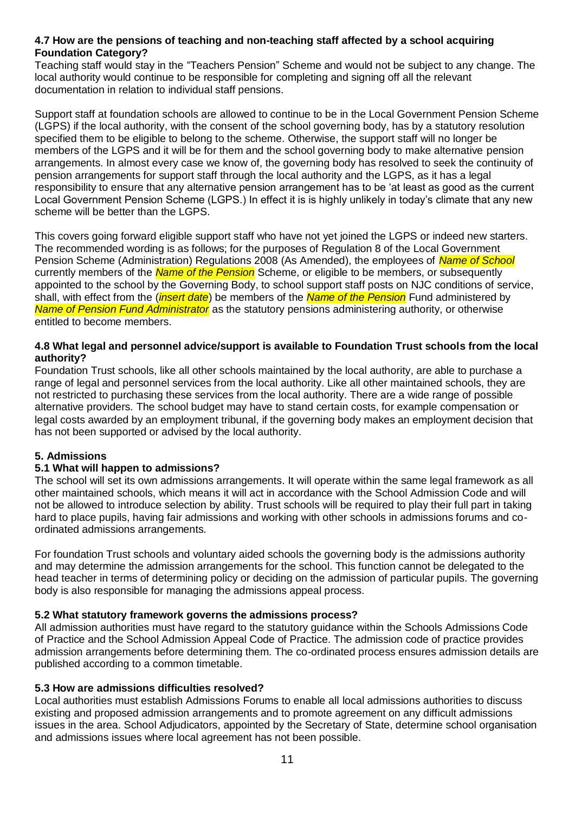#### **4.7 How are the pensions of teaching and non-teaching staff affected by a school acquiring Foundation Category?**

Teaching staff would stay in the "Teachers Pension" Scheme and would not be subject to any change. The local authority would continue to be responsible for completing and signing off all the relevant documentation in relation to individual staff pensions.

Support staff at foundation schools are allowed to continue to be in the Local Government Pension Scheme (LGPS) if the local authority, with the consent of the school governing body, has by a statutory resolution specified them to be eligible to belong to the scheme. Otherwise, the support staff will no longer be members of the LGPS and it will be for them and the school governing body to make alternative pension arrangements. In almost every case we know of, the governing body has resolved to seek the continuity of pension arrangements for support staff through the local authority and the LGPS, as it has a legal responsibility to ensure that any alternative pension arrangement has to be 'at least as good as the current Local Government Pension Scheme (LGPS.) In effect it is is highly unlikely in today's climate that any new scheme will be better than the LGPS.

This covers going forward eligible support staff who have not yet joined the LGPS or indeed new starters. The recommended wording is as follows; for the purposes of Regulation 8 of the Local Government Pension Scheme (Administration) Regulations 2008 (As Amended), the employees of *Name of School* currently members of the *Name of the Pension* Scheme, or eligible to be members, or subsequently appointed to the school by the Governing Body, to school support staff posts on NJC conditions of service, shall, with effect from the (*insert date*) be members of the *Name of the Pension* Fund administered by *Name of Pension Fund Administrator* as the statutory pensions administering authority, or otherwise entitled to become members.

#### **4.8 What legal and personnel advice/support is available to Foundation Trust schools from the local authority?**

Foundation Trust schools, like all other schools maintained by the local authority, are able to purchase a range of legal and personnel services from the local authority. Like all other maintained schools, they are not restricted to purchasing these services from the local authority. There are a wide range of possible alternative providers*.* The school budget may have to stand certain costs, for example compensation or legal costs awarded by an employment tribunal, if the governing body makes an employment decision that has not been supported or advised by the local authority.

## **5. Admissions**

#### **5.1 What will happen to admissions?**

The school will set its own admissions arrangements. It will operate within the same legal framework as all other maintained schools, which means it will act in accordance with the School Admission Code and will not be allowed to introduce selection by ability. Trust schools will be required to play their full part in taking hard to place pupils, having fair admissions and working with other schools in admissions forums and coordinated admissions arrangements.

For foundation Trust schools and voluntary aided schools the governing body is the admissions authority and may determine the admission arrangements for the school. This function cannot be delegated to the head teacher in terms of determining policy or deciding on the admission of particular pupils. The governing body is also responsible for managing the admissions appeal process.

#### **5.2 What statutory framework governs the admissions process?**

All admission authorities must have regard to the statutory guidance within the Schools Admissions Code of Practice and the School Admission Appeal Code of Practice. The admission code of practice provides admission arrangements before determining them. The co-ordinated process ensures admission details are published according to a common timetable.

#### **5.3 How are admissions difficulties resolved?**

Local authorities must establish Admissions Forums to enable all local admissions authorities to discuss existing and proposed admission arrangements and to promote agreement on any difficult admissions issues in the area. School Adjudicators, appointed by the Secretary of State, determine school organisation and admissions issues where local agreement has not been possible.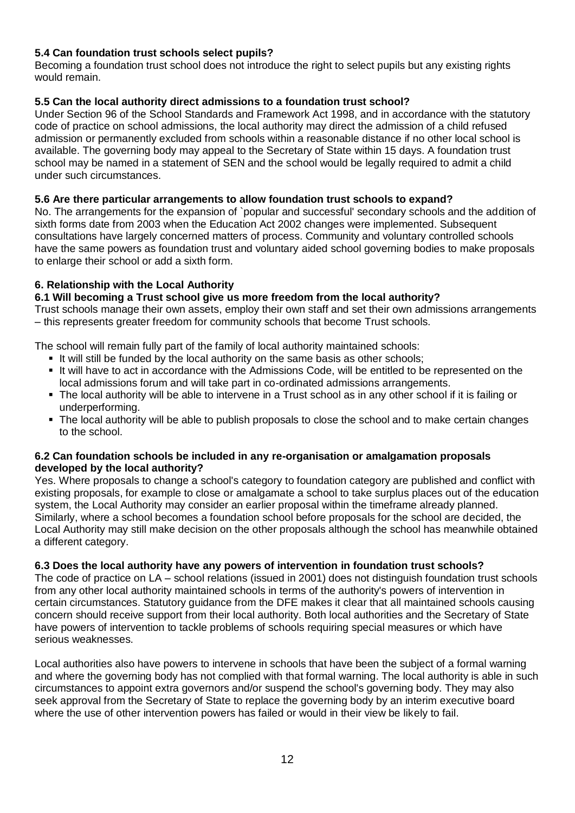## **5.4 Can foundation trust schools select pupils?**

Becoming a foundation trust school does not introduce the right to select pupils but any existing rights would remain.

## **5.5 Can the local authority direct admissions to a foundation trust school?**

Under Section 96 of the School Standards and Framework Act 1998, and in accordance with the statutory code of practice on school admissions, the local authority may direct the admission of a child refused admission or permanently excluded from schools within a reasonable distance if no other local school is available. The governing body may appeal to the Secretary of State within 15 days. A foundation trust school may be named in a statement of SEN and the school would be legally required to admit a child under such circumstances.

## **5.6 Are there particular arrangements to allow foundation trust schools to expand?**

No. The arrangements for the expansion of `popular and successful' secondary schools and the addition of sixth forms date from 2003 when the Education Act 2002 changes were implemented. Subsequent consultations have largely concerned matters of process. Community and voluntary controlled schools have the same powers as foundation trust and voluntary aided school governing bodies to make proposals to enlarge their school or add a sixth form.

## **6. Relationship with the Local Authority**

### **6.1 Will becoming a Trust school give us more freedom from the local authority?**

Trust schools manage their own assets, employ their own staff and set their own admissions arrangements – this represents greater freedom for community schools that become Trust schools.

The school will remain fully part of the family of local authority maintained schools:

- It will still be funded by the local authority on the same basis as other schools;
- It will have to act in accordance with the Admissions Code, will be entitled to be represented on the local admissions forum and will take part in co-ordinated admissions arrangements.
- The local authority will be able to intervene in a Trust school as in any other school if it is failing or underperforming.
- The local authority will be able to publish proposals to close the school and to make certain changes to the school.

#### **6.2 Can foundation schools be included in any re-organisation or amalgamation proposals developed by the local authority?**

Yes. Where proposals to change a school's category to foundation category are published and conflict with existing proposals, for example to close or amalgamate a school to take surplus places out of the education system, the Local Authority may consider an earlier proposal within the timeframe already planned. Similarly, where a school becomes a foundation school before proposals for the school are decided, the Local Authority may still make decision on the other proposals although the school has meanwhile obtained a different category.

#### **6.3 Does the local authority have any powers of intervention in foundation trust schools?**

The code of practice on LA – school relations (issued in 2001) does not distinguish foundation trust schools from any other local authority maintained schools in terms of the authority's powers of intervention in certain circumstances. Statutory guidance from the DFE makes it clear that all maintained schools causing concern should receive support from their local authority. Both local authorities and the Secretary of State have powers of intervention to tackle problems of schools requiring special measures or which have serious weaknesses.

Local authorities also have powers to intervene in schools that have been the subject of a formal warning and where the governing body has not complied with that formal warning. The local authority is able in such circumstances to appoint extra governors and/or suspend the school's governing body. They may also seek approval from the Secretary of State to replace the governing body by an interim executive board where the use of other intervention powers has failed or would in their view be likely to fail.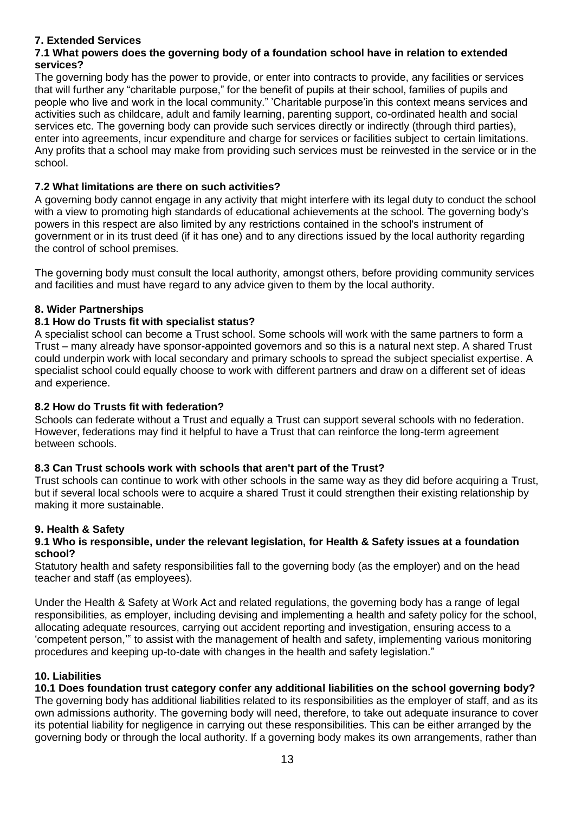## **7. Extended Services**

#### **7.1 What powers does the governing body of a foundation school have in relation to extended services?**

The governing body has the power to provide, or enter into contracts to provide, any facilities or services that will further any "charitable purpose," for the benefit of pupils at their school, families of pupils and people who live and work in the local community." 'Charitable purpose'in this context means services and activities such as childcare, adult and family learning, parenting support, co-ordinated health and social services etc. The governing body can provide such services directly or indirectly (through third parties), enter into agreements, incur expenditure and charge for services or facilities subject to certain limitations. Any profits that a school may make from providing such services must be reinvested in the service or in the school.

## **7.2 What limitations are there on such activities?**

A governing body cannot engage in any activity that might interfere with its legal duty to conduct the school with a view to promoting high standards of educational achievements at the school. The governing body's powers in this respect are also limited by any restrictions contained in the school's instrument of government or in its trust deed (if it has one) and to any directions issued by the local authority regarding the control of school premises.

The governing body must consult the local authority, amongst others, before providing community services and facilities and must have regard to any advice given to them by the local authority.

## **8. Wider Partnerships**

## **8.1 How do Trusts fit with specialist status?**

A specialist school can become a Trust school. Some schools will work with the same partners to form a Trust – many already have sponsor-appointed governors and so this is a natural next step. A shared Trust could underpin work with local secondary and primary schools to spread the subject specialist expertise. A specialist school could equally choose to work with different partners and draw on a different set of ideas and experience.

#### **8.2 How do Trusts fit with federation?**

Schools can federate without a Trust and equally a Trust can support several schools with no federation. However, federations may find it helpful to have a Trust that can reinforce the long-term agreement between schools.

#### **8.3 Can Trust schools work with schools that aren't part of the Trust?**

Trust schools can continue to work with other schools in the same way as they did before acquiring a Trust, but if several local schools were to acquire a shared Trust it could strengthen their existing relationship by making it more sustainable.

#### **9. Health & Safety**

#### **9.1 Who is responsible, under the relevant legislation, for Health & Safety issues at a foundation school?**

Statutory health and safety responsibilities fall to the governing body (as the employer) and on the head teacher and staff (as employees).

Under the Health & Safety at Work Act and related regulations, the governing body has a range of legal responsibilities, as employer, including devising and implementing a health and safety policy for the school, allocating adequate resources, carrying out accident reporting and investigation, ensuring access to a 'competent person,'" to assist with the management of health and safety, implementing various monitoring procedures and keeping up-to-date with changes in the health and safety legislation."

#### **10. Liabilities**

#### **10.1 Does foundation trust category confer any additional liabilities on the school governing body?**

The governing body has additional liabilities related to its responsibilities as the employer of staff, and as its own admissions authority. The governing body will need, therefore, to take out adequate insurance to cover its potential liability for negligence in carrying out these responsibilities. This can be either arranged by the governing body or through the local authority. If a governing body makes its own arrangements, rather than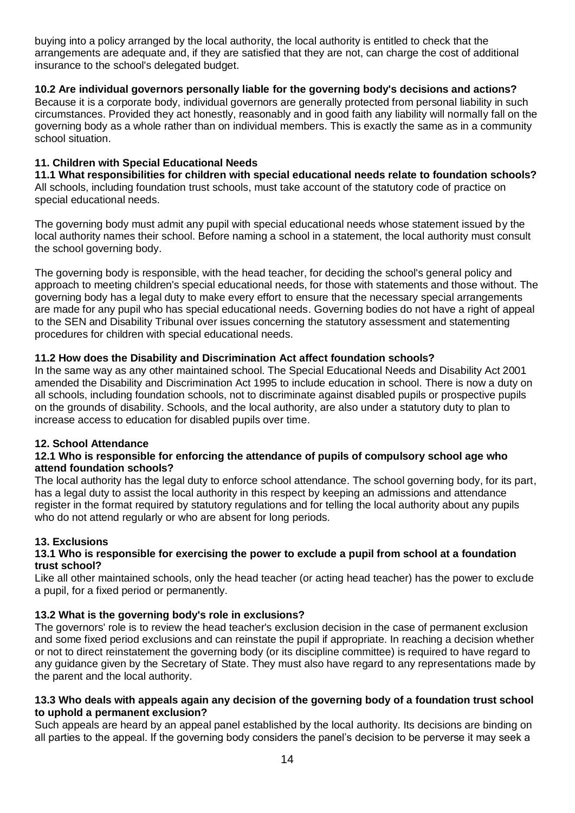buying into a policy arranged by the local authority, the local authority is entitled to check that the arrangements are adequate and, if they are satisfied that they are not, can charge the cost of additional insurance to the school's delegated budget.

## **10.2 Are individual governors personally liable for the governing body's decisions and actions?**

Because it is a corporate body, individual governors are generally protected from personal liability in such circumstances. Provided they act honestly, reasonably and in good faith any liability will normally fall on the governing body as a whole rather than on individual members. This is exactly the same as in a community school situation.

### **11. Children with Special Educational Needs**

**11.1 What responsibilities for children with special educational needs relate to foundation schools?**  All schools, including foundation trust schools, must take account of the statutory code of practice on special educational needs.

The governing body must admit any pupil with special educational needs whose statement issued by the local authority names their school. Before naming a school in a statement, the local authority must consult the school governing body.

The governing body is responsible, with the head teacher, for deciding the school's general policy and approach to meeting children's special educational needs, for those with statements and those without. The governing body has a legal duty to make every effort to ensure that the necessary special arrangements are made for any pupil who has special educational needs. Governing bodies do not have a right of appeal to the SEN and Disability Tribunal over issues concerning the statutory assessment and statementing procedures for children with special educational needs.

## **11.2 How does the Disability and Discrimination Act affect foundation schools?**

In the same way as any other maintained school. The Special Educational Needs and Disability Act 2001 amended the Disability and Discrimination Act 1995 to include education in school. There is now a duty on all schools, including foundation schools, not to discriminate against disabled pupils or prospective pupils on the grounds of disability. Schools, and the local authority, are also under a statutory duty to plan to increase access to education for disabled pupils over time.

## **12. School Attendance**

#### **12.1 Who is responsible for enforcing the attendance of pupils of compulsory school age who attend foundation schools?**

The local authority has the legal duty to enforce school attendance. The school governing body, for its part, has a legal duty to assist the local authority in this respect by keeping an admissions and attendance register in the format required by statutory regulations and for telling the local authority about any pupils who do not attend regularly or who are absent for long periods.

#### **13. Exclusions**

#### **13.1 Who is responsible for exercising the power to exclude a pupil from school at a foundation trust school?**

Like all other maintained schools, only the head teacher (or acting head teacher) has the power to exclude a pupil, for a fixed period or permanently.

## **13.2 What is the governing body's role in exclusions?**

The governors' role is to review the head teacher's exclusion decision in the case of permanent exclusion and some fixed period exclusions and can reinstate the pupil if appropriate. In reaching a decision whether or not to direct reinstatement the governing body (or its discipline committee) is required to have regard to any guidance given by the Secretary of State. They must also have regard to any representations made by the parent and the local authority.

#### **13.3 Who deals with appeals again any decision of the governing body of a foundation trust school to uphold a permanent exclusion?**

Such appeals are heard by an appeal panel established by the local authority. Its decisions are binding on all parties to the appeal. If the governing body considers the panel's decision to be perverse it may seek a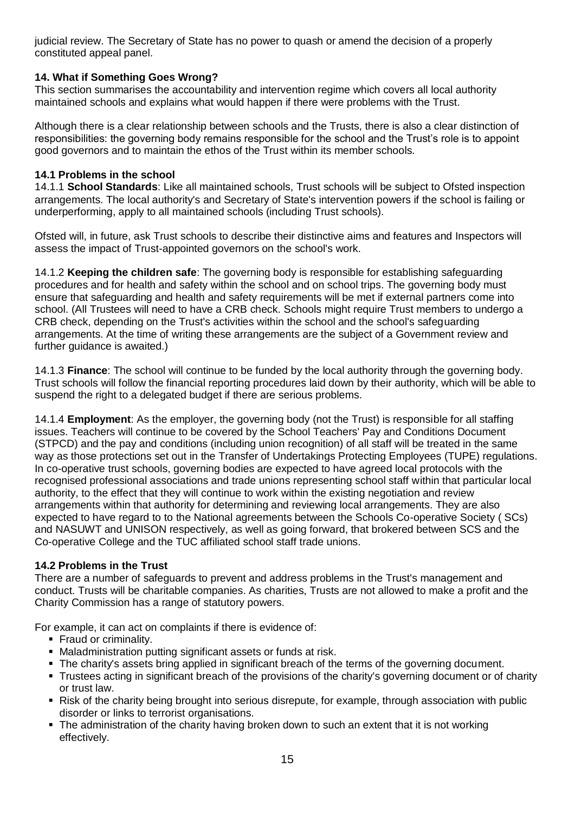judicial review. The Secretary of State has no power to quash or amend the decision of a properly constituted appeal panel.

## **14. What if Something Goes Wrong?**

This section summarises the accountability and intervention regime which covers all local authority maintained schools and explains what would happen if there were problems with the Trust.

Although there is a clear relationship between schools and the Trusts, there is also a clear distinction of responsibilities: the governing body remains responsible for the school and the Trust's role is to appoint good governors and to maintain the ethos of the Trust within its member schools.

#### **14.1 Problems in the school**

14.1.1 **School Standards**: Like all maintained schools, Trust schools will be subject to Ofsted inspection arrangements. The local authority's and Secretary of State's intervention powers if the school is failing or underperforming, apply to all maintained schools (including Trust schools).

Ofsted will, in future, ask Trust schools to describe their distinctive aims and features and Inspectors will assess the impact of Trust-appointed governors on the school's work.

14.1.2 **Keeping the children safe**: The governing body is responsible for establishing safeguarding procedures and for health and safety within the school and on school trips. The governing body must ensure that safeguarding and health and safety requirements will be met if external partners come into school. (All Trustees will need to have a CRB check. Schools might require Trust members to undergo a CRB check, depending on the Trust's activities within the school and the school's safeguarding arrangements. At the time of writing these arrangements are the subject of a Government review and further quidance is awaited.)

14.1.3 **Finance**: The school will continue to be funded by the local authority through the governing body. Trust schools will follow the financial reporting procedures laid down by their authority, which will be able to suspend the right to a delegated budget if there are serious problems.

14.1.4 **Employment**: As the employer, the governing body (not the Trust) is responsible for all staffing issues. Teachers will continue to be covered by the School Teachers' Pay and Conditions Document (STPCD) and the pay and conditions (including union recognition) of all staff will be treated in the same way as those protections set out in the Transfer of Undertakings Protecting Employees (TUPE) regulations. In co-operative trust schools, governing bodies are expected to have agreed local protocols with the recognised professional associations and trade unions representing school staff within that particular local authority, to the effect that they will continue to work within the existing negotiation and review arrangements within that authority for determining and reviewing local arrangements. They are also expected to have regard to to the National agreements between the Schools Co-operative Society ( SCs) and NASUWT and UNISON respectively, as well as going forward, that brokered between SCS and the Co-operative College and the TUC affiliated school staff trade unions.

#### **14.2 Problems in the Trust**

There are a number of safeguards to prevent and address problems in the Trust's management and conduct. Trusts will be charitable companies. As charities, Trusts are not allowed to make a profit and the Charity Commission has a range of statutory powers.

For example, it can act on complaints if there is evidence of:

- **Fraud or criminality.**
- Maladministration putting significant assets or funds at risk.
- The charity's assets bring applied in significant breach of the terms of the governing document.
- Trustees acting in significant breach of the provisions of the charity's governing document or of charity or trust law.
- Risk of the charity being brought into serious disrepute, for example, through association with public disorder or links to terrorist organisations.
- The administration of the charity having broken down to such an extent that it is not working effectively.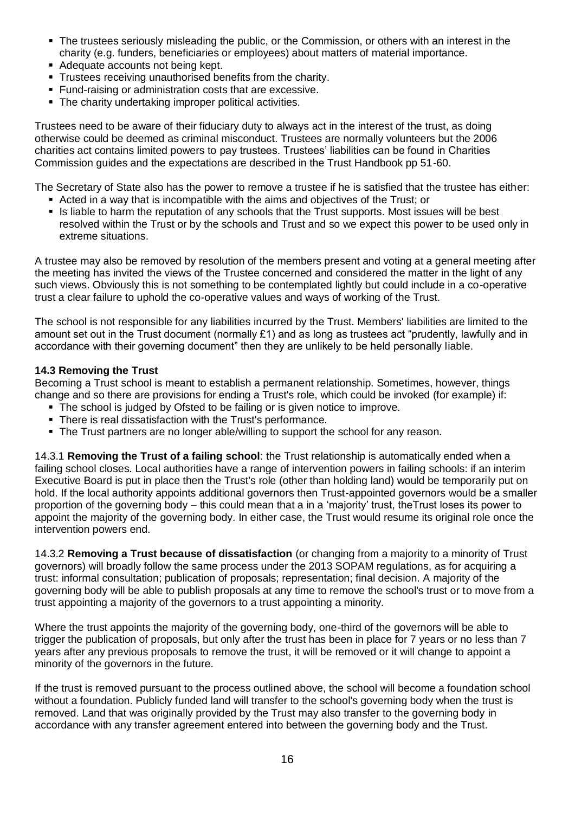- The trustees seriously misleading the public, or the Commission, or others with an interest in the charity (e.g. funders, beneficiaries or employees) about matters of material importance.
- Adequate accounts not being kept.
- **Trustees receiving unauthorised benefits from the charity.**
- Fund-raising or administration costs that are excessive.
- The charity undertaking improper political activities.

Trustees need to be aware of their fiduciary duty to always act in the interest of the trust, as doing otherwise could be deemed as criminal misconduct. Trustees are normally volunteers but the 2006 charities act contains limited powers to pay trustees. Trustees' liabilities can be found in Charities Commission guides and the expectations are described in the Trust Handbook pp 51-60.

The Secretary of State also has the power to remove a trustee if he is satisfied that the trustee has either:

- Acted in a way that is incompatible with the aims and objectives of the Trust; or
- Is liable to harm the reputation of any schools that the Trust supports. Most issues will be best resolved within the Trust or by the schools and Trust and so we expect this power to be used only in extreme situations.

A trustee may also be removed by resolution of the members present and voting at a general meeting after the meeting has invited the views of the Trustee concerned and considered the matter in the light of any such views. Obviously this is not something to be contemplated lightly but could include in a co-operative trust a clear failure to uphold the co-operative values and ways of working of the Trust.

The school is not responsible for any liabilities incurred by the Trust. Members' liabilities are limited to the amount set out in the Trust document (normally £1) and as long as trustees act "prudently, lawfully and in accordance with their governing document" then they are unlikely to be held personally liable.

#### **14.3 Removing the Trust**

Becoming a Trust school is meant to establish a permanent relationship. Sometimes, however, things change and so there are provisions for ending a Trust's role, which could be invoked (for example) if:

- The school is judged by Ofsted to be failing or is given notice to improve.
- There is real dissatisfaction with the Trust's performance.
- The Trust partners are no longer able/willing to support the school for any reason.

14.3.1 **Removing the Trust of a failing school**: the Trust relationship is automatically ended when a failing school closes. Local authorities have a range of intervention powers in failing schools: if an interim Executive Board is put in place then the Trust's role (other than holding land) would be temporarily put on hold. If the local authority appoints additional governors then Trust-appointed governors would be a smaller proportion of the governing body – this could mean that a in a 'majority' trust, theTrust loses its power to appoint the majority of the governing body. In either case, the Trust would resume its original role once the intervention powers end.

14.3.2 **Removing a Trust because of dissatisfaction** (or changing from a majority to a minority of Trust governors) will broadly follow the same process under the 2013 SOPAM regulations, as for acquiring a trust: informal consultation; publication of proposals; representation; final decision. A majority of the governing body will be able to publish proposals at any time to remove the school's trust or to move from a trust appointing a majority of the governors to a trust appointing a minority.

Where the trust appoints the majority of the governing body, one-third of the governors will be able to trigger the publication of proposals, but only after the trust has been in place for 7 years or no less than 7 years after any previous proposals to remove the trust, it will be removed or it will change to appoint a minority of the governors in the future.

If the trust is removed pursuant to the process outlined above, the school will become a foundation school without a foundation. Publicly funded land will transfer to the school's governing body when the trust is removed. Land that was originally provided by the Trust may also transfer to the governing body in accordance with any transfer agreement entered into between the governing body and the Trust.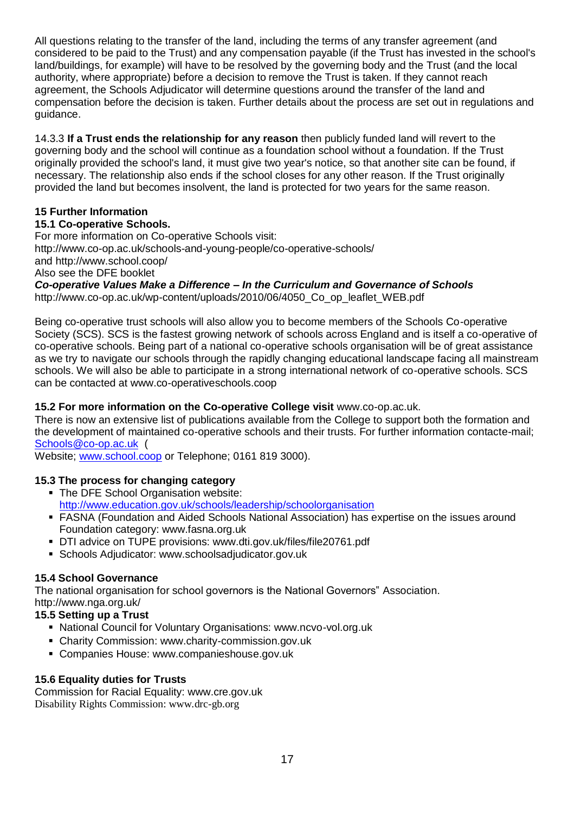All questions relating to the transfer of the land, including the terms of any transfer agreement (and considered to be paid to the Trust) and any compensation payable (if the Trust has invested in the school's land/buildings, for example) will have to be resolved by the governing body and the Trust (and the local authority, where appropriate) before a decision to remove the Trust is taken. If they cannot reach agreement, the Schools Adjudicator will determine questions around the transfer of the land and compensation before the decision is taken. Further details about the process are set out in regulations and guidance.

14.3.3 **If a Trust ends the relationship for any reason** then publicly funded land will revert to the governing body and the school will continue as a foundation school without a foundation. If the Trust originally provided the school's land, it must give two year's notice, so that another site can be found, if necessary. The relationship also ends if the school closes for any other reason. If the Trust originally provided the land but becomes insolvent, the land is protected for two years for the same reason.

## **15 Further Information**

### **15.1 Co-operative Schools.**

For more information on Co-operative Schools visit: http://www.co-op.ac.uk/schools-and-young-people/co-operative-schools/ and http://www.school.coop/ Also see the DFE booklet

*Co-operative Values Make a Difference – In the Curriculum and Governance of Schools*  http://www.co-op.ac.uk/wp-content/uploads/2010/06/4050\_Co\_op\_leaflet\_WEB.pdf

Being co-operative trust schools will also allow you to become members of the Schools Co-operative Society (SCS). SCS is the fastest growing network of schools across England and is itself a co-operative of co-operative schools. Being part of a national co-operative schools organisation will be of great assistance as we try to navigate our schools through the rapidly changing educational landscape facing all mainstream schools. We will also be able to participate in a strong international network of co-operative schools. SCS can be contacted at www.co-operativeschools.coop

## **15.2 For more information on the Co-operative College visit** www.co-op.ac.uk.

There is now an extensive list of publications available from the College to support both the formation and the development of maintained co-operative schools and their trusts. For further information contacte-mail; [Schools@co-op.ac.uk](mailto:Schools@co-op.ac.uk) (

Website; [www.school.coop](http://www.school.coop/) or Telephone; 0161 819 3000).

## **15.3 The process for changing category**

- The DFE School Organisation website: <http://www.education.gov.uk/schools/leadership/schoolorganisation>
- FASNA (Foundation and Aided Schools National Association) has expertise on the issues around Foundation category: www.fasna.org.uk
- DTI advice on TUPE provisions: www.dti.gov.uk/files/file20761.pdf
- Schools Adjudicator: www.schoolsadjudicator.gov.uk

## **15.4 School Governance**

The national organisation for school governors is the National Governors" Association. http://www.nga.org.uk/

## **15.5 Setting up a Trust**

- National Council for Voluntary Organisations: www.ncvo-vol.org.uk
- Charity Commission: www.charity-commission.gov.uk
- Companies House: www.companieshouse.gov.uk

#### **15.6 Equality duties for Trusts**

Commission for Racial Equality: www.cre.gov.uk Disability Rights Commission: www.drc-gb.org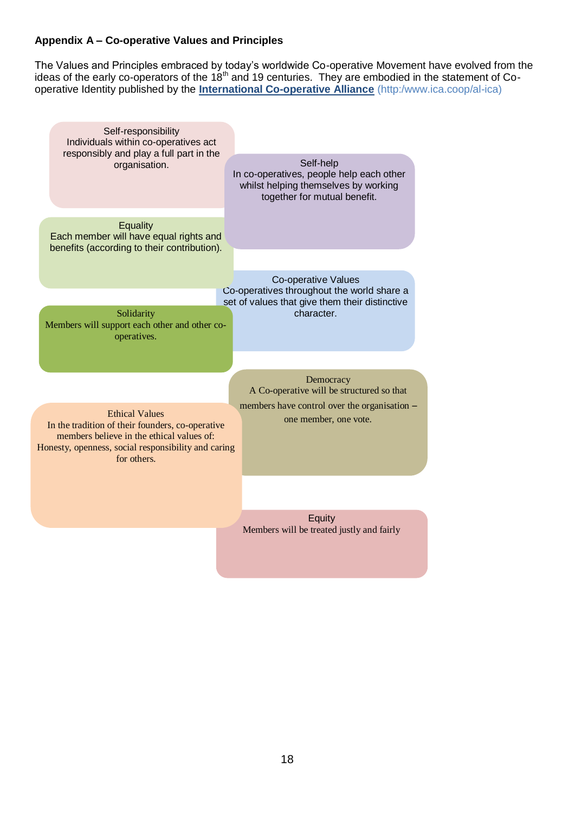## **Appendix A – Co-operative Values and Principles**

The Values and Principles embraced by today's worldwide Co-operative Movement have evolved from the ideas of the early co-operators of the 18<sup>th</sup> and 19 centuries. They are embodied in the statement of Cooperative Identity published by the **International Co-operative Alliance** (http:/www.ica.coop/al-ica)